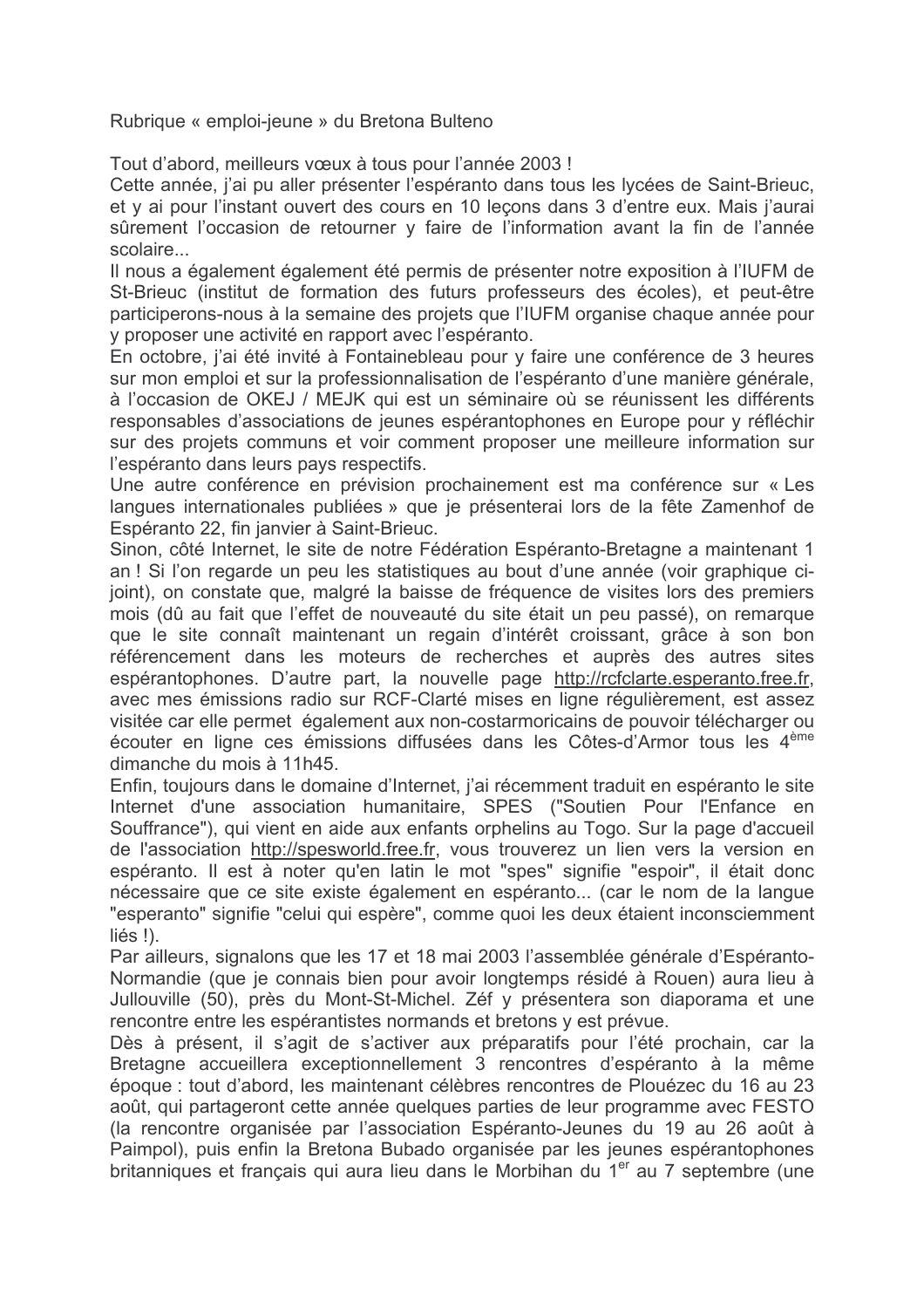Rubrique « emploi-jeune » du Bretona Bulteno

Tout d'abord, meilleurs vœux à tous pour l'année 2003 !

Cette année, j'ai pu aller présenter l'espéranto dans tous les lycées de Saint-Brieuc, et y ai pour l'instant ouvert des cours en 10 lecons dans 3 d'entre eux. Mais j'aurai sûrement l'occasion de retourner y faire de l'information avant la fin de l'année scolaire...

Il nous a également également été permis de présenter notre exposition à l'IUFM de St-Brieuc (institut de formation des futurs professeurs des écoles), et peut-être participerons-nous à la semaine des projets que l'IUFM organise chaque année pour y proposer une activité en rapport avec l'espéranto.

En octobre, j'ai été invité à Fontainebleau pour y faire une conférence de 3 heures sur mon emploi et sur la professionnalisation de l'espéranto d'une manière générale. à l'occasion de OKEJ / MEJK qui est un séminaire où se réunissent les différents responsables d'associations de jeunes espérantophones en Europe pour y réfléchir sur des projets communs et voir comment proposer une meilleure information sur l'espéranto dans leurs pays respectifs.

Une autre conférence en prévision prochainement est ma conférence sur « Les langues internationales publiées » que je présenterai lors de la fête Zamenhof de Espéranto 22, fin janvier à Saint-Brieuc.

Sinon, côté Internet, le site de notre Fédération Espéranto-Bretagne a maintenant 1 an! Si l'on regarde un peu les statistiques au bout d'une année (voir graphique cijoint), on constate que, malgré la baisse de fréquence de visites lors des premiers mois (dû au fait que l'effet de nouveauté du site était un peu passé), on remarque que le site connaît maintenant un regain d'intérêt croissant, grâce à son bon référencement dans les moteurs de recherches et auprès des autres sites espérantophones. D'autre part, la nouvelle page http://rcfclarte.esperanto.free.fr. avec mes émissions radio sur RCF-Clarté mises en ligne régulièrement, est assez visitée car elle permet également aux non-costarmoricains de pouvoir télécharger ou écouter en ligne ces émissions diffusées dans les Côtes-d'Armor tous les 4<sup>ème</sup> dimanche du mois à 11h45.

Enfin, toujours dans le domaine d'Internet, j'ai récemment traduit en espéranto le site Internet d'une association humanitaire, SPES ("Soutien Pour l'Enfance en Souffrance"), qui vient en aide aux enfants orphelins au Togo. Sur la page d'accueil de l'association http://spesworld.free.fr, vous trouverez un lien vers la version en espéranto. Il est à noter qu'en latin le mot "spes" signifie "espoir", il était donc nécessaire que ce site existe également en espéranto... (car le nom de la langue "esperanto" signifie "celui qui espère", comme quoi les deux étaient inconsciemment  $liés$ !).

Par ailleurs, signalons que les 17 et 18 mai 2003 l'assemblée générale d'Espéranto-Normandie (que je connais bien pour avoir longtemps résidé à Rouen) aura lieu à Jullouville (50), près du Mont-St-Michel. Zéf y présentera son diaporama et une rencontre entre les espérantistes normands et bretons y est prévue.

Dès à présent, il s'agit de s'activer aux préparatifs pour l'été prochain, car la Bretagne accueillera exceptionnellement 3 rencontres d'espéranto à la même époque : tout d'abord, les maintenant célèbres rencontres de Plouézec du 16 au 23 août, qui partageront cette année quelques parties de leur programme avec FESTO (la rencontre organisée par l'association Espéranto-Jeunes du 19 au 26 août à Paimpol), puis enfin la Bretona Bubado organisée par les jeunes espérantophones britanniques et français qui aura lieu dans le Morbihan du 1<sup>er</sup> au 7 septembre (une